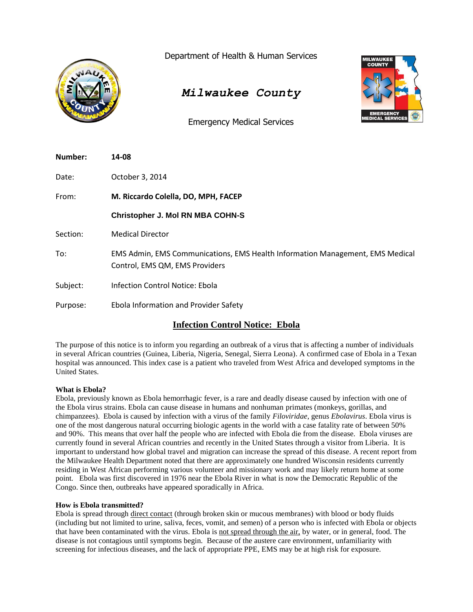

Department of Health & Human Services

# *Milwaukee County*

Emergency Medical Services



| Number:  | 14-08                                                                                                           |  |
|----------|-----------------------------------------------------------------------------------------------------------------|--|
| Date:    | October 3, 2014                                                                                                 |  |
| From:    | M. Riccardo Colella, DO, MPH, FACEP                                                                             |  |
|          | <b>Christopher J. Mol RN MBA COHN-S</b>                                                                         |  |
| Section: | <b>Medical Director</b>                                                                                         |  |
| To:      | EMS Admin, EMS Communications, EMS Health Information Management, EMS Medical<br>Control, EMS QM, EMS Providers |  |
| Subject: | Infection Control Notice: Ebola                                                                                 |  |
| Purpose: | Ebola Information and Provider Safety                                                                           |  |

# **Infection Control Notice: Ebola**

The purpose of this notice is to inform you regarding an outbreak of a virus that is affecting a number of individuals in several African countries (Guinea, Liberia, Nigeria, Senegal, Sierra Leona). A confirmed case of Ebola in a Texan hospital was announced. This index case is a patient who traveled from West Africa and developed symptoms in the United States.

# **What is Ebola?**

Ebola, previously known as Ebola hemorrhagic fever, is a rare and deadly disease caused by infection with one of the Ebola virus strains. Ebola can cause disease in humans and nonhuman primates (monkeys, gorillas, and chimpanzees). Ebola is caused by infection with a virus of the family *[Filoviridae](http://www.cdc.gov/vhf/virus-families/filoviridae.html)*, genus *Ebolavirus*. Ebola virus is one of the most dangerous natural occurring biologic agents in the world with a case fatality rate of between 50% and 90%. This means that over half the people who are infected with Ebola die from the disease. Ebola viruses are currently found in several African countries and recently in the United States through a visitor from Liberia. It is important to understand how global travel and migration can increase the spread of this disease. A recent report from the Milwaukee Health Department noted that there are approximately one hundred Wisconsin residents currently residing in West African performing various volunteer and missionary work and may likely return home at some point. Ebola was first discovered in 1976 near the Ebola River in what is now the Democratic Republic of the Congo. Since then, outbreaks have appeared sporadically in Africa.

# **How is Ebola transmitted?**

Ebola is spread through direct contact (through broken skin or mucous membranes) with blood or body fluids (including but not limited to urine, saliva, feces, vomit, and semen) of a person who is infected with Ebola or objects that have been contaminated with the virus. Ebola is not spread through the air, by water, or in general, food. The disease is not contagious until symptoms begin. Because of the austere care environment, unfamiliarity with screening for infectious diseases, and the lack of appropriate PPE, EMS may be at high risk for exposure.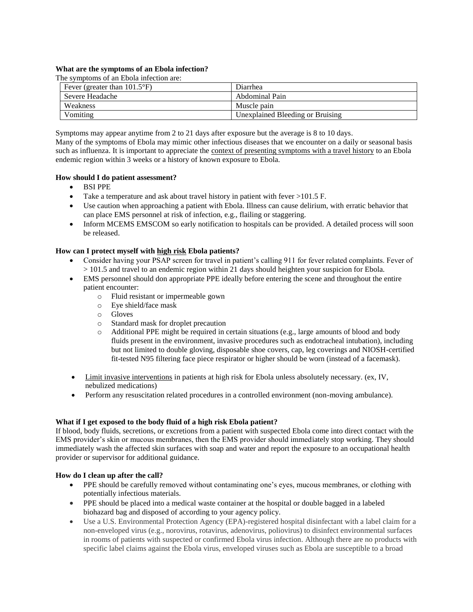#### **What are the symptoms of an Ebola infection?**

The symptoms of an Ebola infection are:

| Fever (greater than $101.5^{\circ}F$ ) | Diarrhea                         |  |  |
|----------------------------------------|----------------------------------|--|--|
| Severe Headache                        | Abdominal Pain                   |  |  |
| Weakness                               | Muscle pain                      |  |  |
| Vomiting                               | Unexplained Bleeding or Bruising |  |  |

Symptoms may appear anytime from 2 to 21 days after exposure but the average is 8 to 10 days. Many of the symptoms of Ebola may mimic other infectious diseases that we encounter on a daily or seasonal basis

such as influenza. It is important to appreciate the context of presenting symptoms with a travel history to an Ebola endemic region within 3 weeks or a history of known exposure to Ebola.

### **How should I do patient assessment?**

- BSI PPE
- Take a temperature and ask about travel history in patient with fever  $>101.5$  F.
- Use caution when approaching a patient with Ebola. Illness can cause delirium, with erratic behavior that can place EMS personnel at risk of infection, e.g., flailing or staggering.
- Inform MCEMS EMSCOM so early notification to hospitals can be provided. A detailed process will soon be released.

### **How can I protect myself with high risk Ebola patients?**

- Consider having your PSAP screen for travel in patient's calling 911 for fever related complaints. Fever of > 101.5 and travel to an endemic region within 21 days should heighten your suspicion for Ebola.
- EMS personnel should don appropriate PPE ideally before entering the scene and throughout the entire patient encounter:
	- o Fluid resistant or impermeable gown
	- o Eye shield/face mask
	- o Gloves
	- o Standard mask for droplet precaution
	- o Additional PPE might be required in certain situations (e.g., large amounts of blood and body fluids present in the environment, invasive procedures such as endotracheal intubation), including but not limited to double gloving, disposable shoe covers, cap, leg coverings and NIOSH-certified fit-tested N95 filtering face piece respirator or higher should be worn (instead of a facemask).
- Limit invasive interventions in patients at high risk for Ebola unless absolutely necessary. (ex, IV, nebulized medications)
- Perform any resuscitation related procedures in a controlled environment (non-moving ambulance).

#### **What if I get exposed to the body fluid of a high risk Ebola patient?**

If blood, body fluids, secretions, or excretions from a patient with suspected Ebola come into direct contact with the EMS provider's skin or mucous membranes, then the EMS provider should immediately stop working. They should immediately wash the affected skin surfaces with soap and water and report the exposure to an occupational health provider or supervisor for additional guidance.

#### **How do I clean up after the call?**

- PPE should be carefully removed without contaminating one's eyes, mucous membranes, or clothing with potentially infectious materials.
- PPE should be placed into a medical waste container at the hospital or double bagged in a labeled biohazard bag and disposed of according to your agency policy.
- Use a U.S. Environmental Protection Agency (EPA)-registered hospital disinfectant with a label claim for a non-enveloped virus (e.g., norovirus, rotavirus, adenovirus, poliovirus) to disinfect environmental surfaces in rooms of patients with suspected or confirmed Ebola virus infection. Although there are no products with specific label claims against the Ebola virus, enveloped viruses such as Ebola are susceptible to a broad